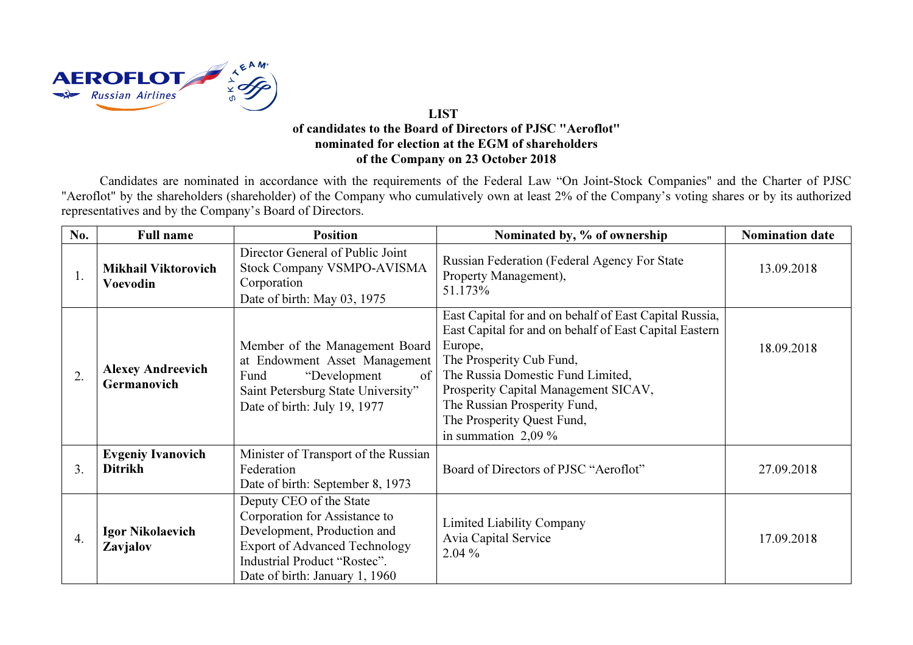

## LIST of candidates to the Board of Directors of PJSC "Aeroflot" nominated for election at the EGM of shareholders of the Company on 23 October 2018

Candidates are nominated in accordance with the requirements of the Federal Law "On Joint-Stock Companies" and the Charter of PJSC "Aeroflot" by the shareholders (shareholder) of the Company who cumulatively own at least 2% of the Company's voting shares or by its authorized representatives and by the Company's Board of Directors.

| No. | <b>Full name</b>                           | <b>Position</b>                                                                                                                                                                                   | Nominated by, % of ownership                                                                                                                                                                                                                                                                                                | <b>Nomination date</b> |
|-----|--------------------------------------------|---------------------------------------------------------------------------------------------------------------------------------------------------------------------------------------------------|-----------------------------------------------------------------------------------------------------------------------------------------------------------------------------------------------------------------------------------------------------------------------------------------------------------------------------|------------------------|
| 1.  | <b>Mikhail Viktorovich</b><br>Voevodin     | Director General of Public Joint<br>Stock Company VSMPO-AVISMA<br>Corporation<br>Date of birth: May 03, 1975                                                                                      | Russian Federation (Federal Agency For State<br>Property Management),<br>51.173%                                                                                                                                                                                                                                            | 13.09.2018             |
| 2.  | <b>Alexey Andreevich</b><br>Germanovich    | Member of the Management Board<br>at Endowment Asset Management<br>Fund<br>"Development"<br>of<br>Saint Petersburg State University"<br>Date of birth: July 19, 1977                              | East Capital for and on behalf of East Capital Russia,<br>East Capital for and on behalf of East Capital Eastern<br>Europe,<br>The Prosperity Cub Fund,<br>The Russia Domestic Fund Limited,<br>Prosperity Capital Management SICAV,<br>The Russian Prosperity Fund,<br>The Prosperity Quest Fund,<br>in summation $2,09\%$ | 18.09.2018             |
| 3.  | <b>Evgeniy Ivanovich</b><br><b>Ditrikh</b> | Minister of Transport of the Russian<br>Federation<br>Date of birth: September 8, 1973                                                                                                            | Board of Directors of PJSC "Aeroflot"                                                                                                                                                                                                                                                                                       | 27.09.2018             |
| 4.  | <b>Igor Nikolaevich</b><br>Zavjalov        | Deputy CEO of the State<br>Corporation for Assistance to<br>Development, Production and<br><b>Export of Advanced Technology</b><br>Industrial Product "Rostec".<br>Date of birth: January 1, 1960 | <b>Limited Liability Company</b><br>Avia Capital Service<br>$2.04\%$                                                                                                                                                                                                                                                        | 17.09.2018             |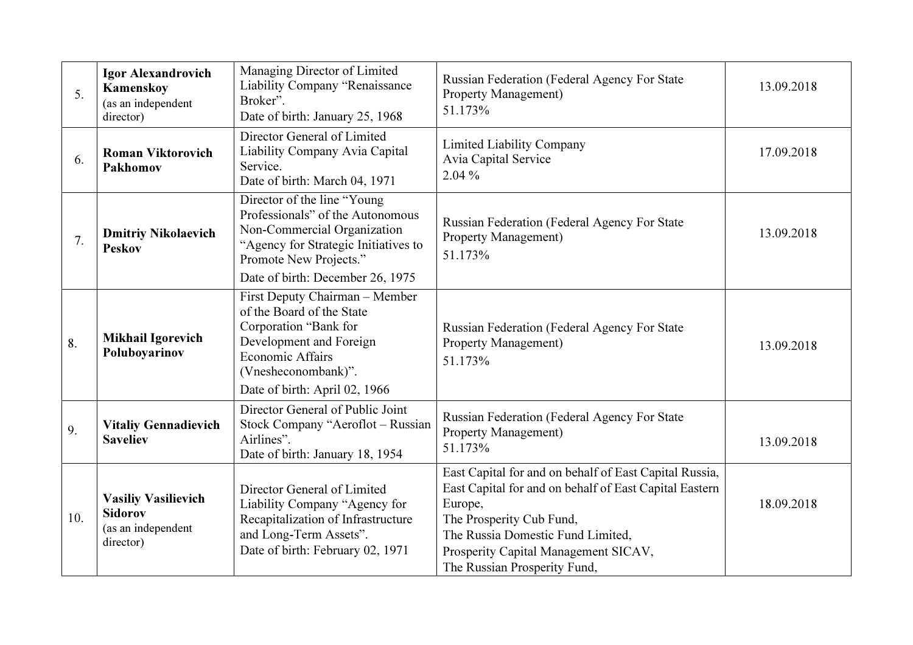| 5.  | <b>Igor Alexandrovich</b><br>Kamenskoy<br>(as an independent<br>director)       | Managing Director of Limited<br>Liability Company "Renaissance<br>Broker".<br>Date of birth: January 25, 1968                                                                                      | Russian Federation (Federal Agency For State<br>Property Management)<br>51.173%                                                                                                                                                                                      | 13.09.2018 |
|-----|---------------------------------------------------------------------------------|----------------------------------------------------------------------------------------------------------------------------------------------------------------------------------------------------|----------------------------------------------------------------------------------------------------------------------------------------------------------------------------------------------------------------------------------------------------------------------|------------|
| 6.  | <b>Roman Viktorovich</b><br>Pakhomov                                            | Director General of Limited<br>Liability Company Avia Capital<br>Service.<br>Date of birth: March 04, 1971                                                                                         | <b>Limited Liability Company</b><br>Avia Capital Service<br>2.04 %                                                                                                                                                                                                   | 17.09.2018 |
| 7.  | <b>Dmitriy Nikolaevich</b><br><b>Peskov</b>                                     | Director of the line "Young<br>Professionals" of the Autonomous<br>Non-Commercial Organization<br>"Agency for Strategic Initiatives to<br>Promote New Projects."                                   | Russian Federation (Federal Agency For State<br><b>Property Management)</b><br>51.173%                                                                                                                                                                               | 13.09.2018 |
|     |                                                                                 | Date of birth: December 26, 1975                                                                                                                                                                   |                                                                                                                                                                                                                                                                      |            |
| 8.  | <b>Mikhail Igorevich</b><br>Poluboyarinov                                       | First Deputy Chairman - Member<br>of the Board of the State<br>Corporation "Bank for<br>Development and Foreign<br><b>Economic Affairs</b><br>(Vnesheconombank)".<br>Date of birth: April 02, 1966 | Russian Federation (Federal Agency For State<br><b>Property Management)</b><br>51.173%                                                                                                                                                                               | 13.09.2018 |
| 9.  | <b>Vitaliy Gennadievich</b><br><b>Saveliev</b>                                  | Director General of Public Joint<br>Stock Company "Aeroflot - Russian<br>Airlines".<br>Date of birth: January 18, 1954                                                                             | Russian Federation (Federal Agency For State<br>Property Management)<br>51.173%                                                                                                                                                                                      | 13.09.2018 |
| 10. | <b>Vasiliy Vasilievich</b><br><b>Sidorov</b><br>(as an independent<br>director) | Director General of Limited<br>Liability Company "Agency for<br>Recapitalization of Infrastructure<br>and Long-Term Assets".<br>Date of birth: February 02, 1971                                   | East Capital for and on behalf of East Capital Russia,<br>East Capital for and on behalf of East Capital Eastern<br>Europe,<br>The Prosperity Cub Fund,<br>The Russia Domestic Fund Limited,<br>Prosperity Capital Management SICAV,<br>The Russian Prosperity Fund, | 18.09.2018 |